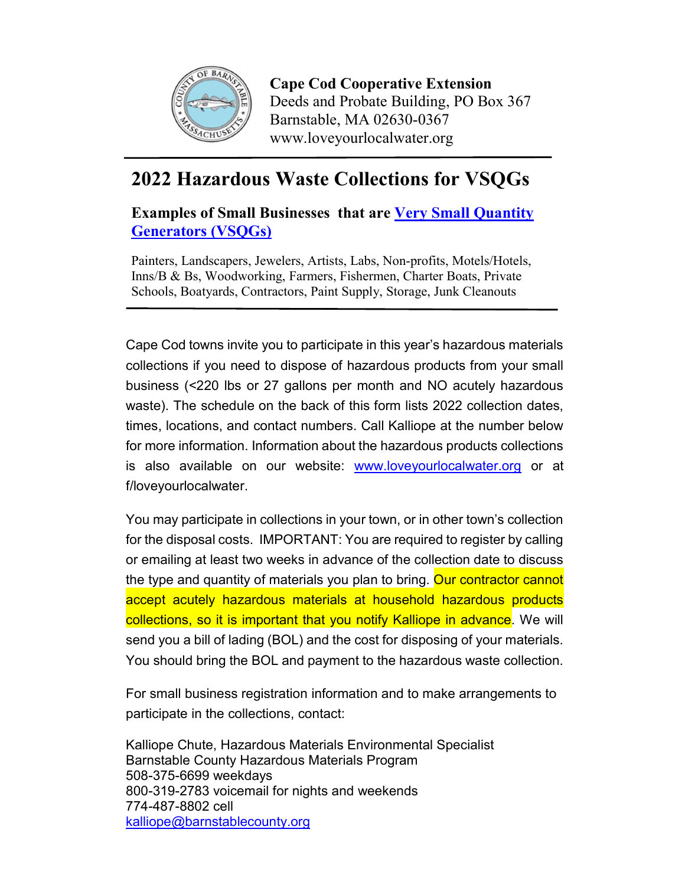

Cape Cod Cooperative Extension Deeds and Probate Building, PO Box 367 Barnstable, MA 02630-0367 www.loveyourlocalwater.org

## 2022 Hazardous Waste Collections for VSQGs

## Examples of Small Businesses that are Very Small Quantity Generators (VSQGs)

Painters, Landscapers, Jewelers, Artists, Labs, Non-profits, Motels/Hotels, Inns/B & Bs, Woodworking, Farmers, Fishermen, Charter Boats, Private Schools, Boatyards, Contractors, Paint Supply, Storage, Junk Cleanouts

Cape Cod towns invite you to participate in this year's hazardous materials collections if you need to dispose of hazardous products from your small business (<220 lbs or 27 gallons per month and NO acutely hazardous waste). The schedule on the back of this form lists 2022 collection dates, times, locations, and contact numbers. Call Kalliope at the number below for more information. Information about the hazardous products collections is also available on our website: www.loveyourlocalwater.org or at f/loveyourlocalwater.

You may participate in collections in your town, or in other town's collection for the disposal costs. IMPORTANT: You are required to register by calling or emailing at least two weeks in advance of the collection date to discuss the type and quantity of materials you plan to bring. Our contractor cannot accept acutely hazardous materials at household hazardous products collections, so it is important that you notify Kalliope in advance. We will send you a bill of lading (BOL) and the cost for disposing of your materials. You should bring the BOL and payment to the hazardous waste collection.

For small business registration information and to make arrangements to participate in the collections, contact:

Kalliope Chute, Hazardous Materials Environmental Specialist Barnstable County Hazardous Materials Program 508-375-6699 weekdays 800-319-2783 voicemail for nights and weekends 774-487-8802 cell kalliope@barnstablecounty.org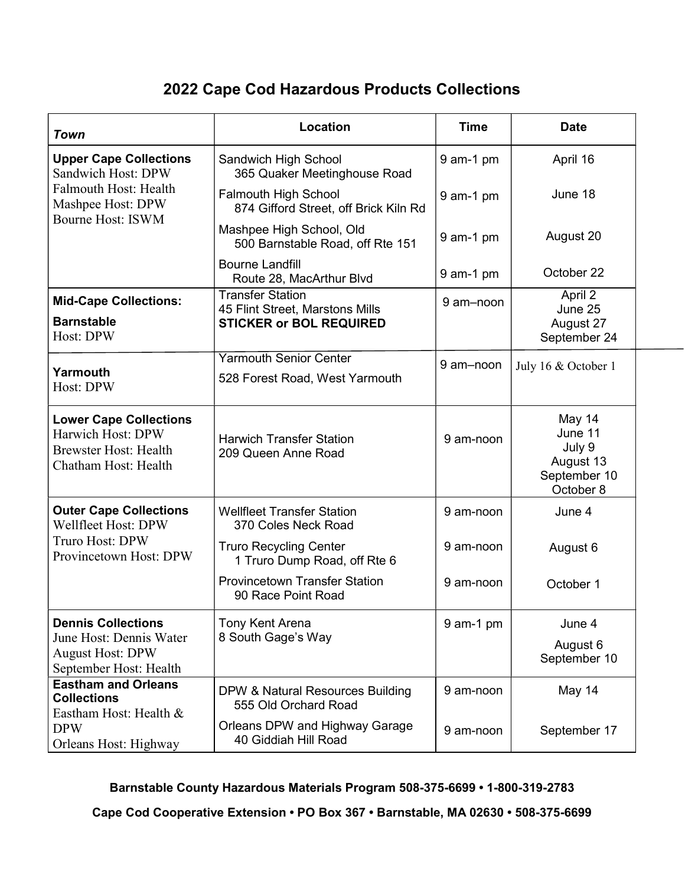## 2022 Cape Cod Hazardous Products Collections

| <b>Town</b>                                                                                                                                                                             | Location                                                                                     | <b>Time</b> | <b>Date</b>                                                           |  |  |
|-----------------------------------------------------------------------------------------------------------------------------------------------------------------------------------------|----------------------------------------------------------------------------------------------|-------------|-----------------------------------------------------------------------|--|--|
| <b>Upper Cape Collections</b><br>Sandwich Host: DPW<br><b>Falmouth Host: Health</b><br>Mashpee Host: DPW<br><b>Bourne Host: ISWM</b>                                                    | Sandwich High School<br>365 Quaker Meetinghouse Road                                         | $9$ am-1 pm | April 16                                                              |  |  |
|                                                                                                                                                                                         | <b>Falmouth High School</b><br>874 Gifford Street, off Brick Kiln Rd                         | $9$ am-1 pm | June 18                                                               |  |  |
|                                                                                                                                                                                         | Mashpee High School, Old<br>500 Barnstable Road, off Rte 151                                 | $9$ am-1 pm | August 20                                                             |  |  |
|                                                                                                                                                                                         | <b>Bourne Landfill</b><br>Route 28, MacArthur Blvd                                           | $9$ am-1 pm | October 22                                                            |  |  |
| <b>Mid-Cape Collections:</b><br><b>Barnstable</b><br>Host: DPW                                                                                                                          | <b>Transfer Station</b><br>45 Flint Street, Marstons Mills<br><b>STICKER or BOL REQUIRED</b> | 9 am-noon   | April 2<br>June 25<br>August 27<br>September 24                       |  |  |
| Yarmouth<br>Host: DPW                                                                                                                                                                   | <b>Yarmouth Senior Center</b><br>528 Forest Road, West Yarmouth                              | 9 am-noon   | July 16 & October 1                                                   |  |  |
| <b>Lower Cape Collections</b><br>Harwich Host: DPW<br><b>Brewster Host: Health</b><br>Chatham Host: Health                                                                              | <b>Harwich Transfer Station</b><br>209 Queen Anne Road                                       | 9 am-noon   | May 14<br>June 11<br>July 9<br>August 13<br>September 10<br>October 8 |  |  |
| <b>Outer Cape Collections</b><br>Wellfleet Host: DPW<br>Truro Host: DPW<br>Provincetown Host: DPW                                                                                       | <b>Wellfleet Transfer Station</b><br>370 Coles Neck Road                                     | 9 am-noon   | June 4                                                                |  |  |
|                                                                                                                                                                                         | <b>Truro Recycling Center</b><br>1 Truro Dump Road, off Rte 6                                | 9 am-noon   | August 6                                                              |  |  |
|                                                                                                                                                                                         | <b>Provincetown Transfer Station</b><br>90 Race Point Road                                   | 9 am-noon   | October 1                                                             |  |  |
| <b>Dennis Collections</b><br>June Host: Dennis Water<br><b>August Host: DPW</b><br>September Host: Health<br><b>Eastham and Orleans</b><br><b>Collections</b><br>Eastham Host: Health & | Tony Kent Arena<br>8 South Gage's Way                                                        | 9 am-1 pm   | June 4<br>August 6<br>September 10                                    |  |  |
|                                                                                                                                                                                         | DPW & Natural Resources Building<br>555 Old Orchard Road                                     | 9 am-noon   | May 14                                                                |  |  |
| <b>DPW</b><br>Orleans Host: Highway                                                                                                                                                     | Orleans DPW and Highway Garage<br>40 Giddiah Hill Road                                       | 9 am-noon   | September 17                                                          |  |  |

Barnstable County Hazardous Materials Program 508-375-6699 • 1-800-319-2783

Cape Cod Cooperative Extension • PO Box 367 • Barnstable, MA 02630 • 508-375-6699